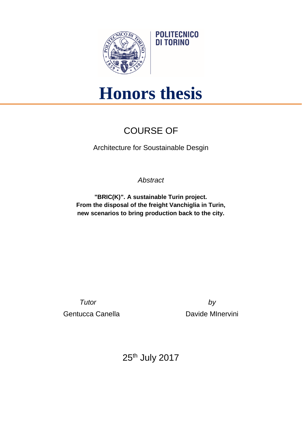

## **Honors thesis**

**POLITECNICO DI TORINO** 

## COURSE OF

Architecture for Soustainable Desgin

*Abstract*

**"BRIC(K)". A sustainable Turin project. From the disposal of the freight Vanchiglia in Turin, new scenarios to bring production back to the city.**

*Tutor by* Gentucca Canella **Davide Minervini** 

25th July 2017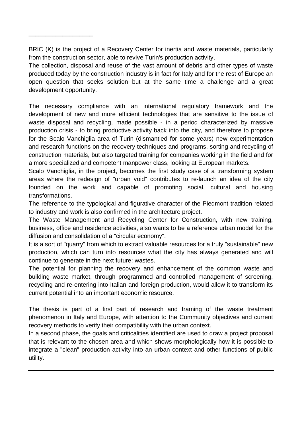BRIC (K) is the project of a Recovery Center for inertia and waste materials, particularly from the construction sector, able to revive Turin's production activity.

\_\_\_\_\_\_\_\_\_\_\_\_\_\_\_\_\_\_\_

The collection, disposal and reuse of the vast amount of debris and other types of waste produced today by the construction industry is in fact for Italy and for the rest of Europe an open question that seeks solution but at the same time a challenge and a great development opportunity.

The necessary compliance with an international regulatory framework and the development of new and more efficient technologies that are sensitive to the issue of waste disposal and recycling, made possible - in a period characterized by massive production crisis - to bring productive activity back into the city, and therefore to propose for the Scalo Vanchiglia area of Turin (dismantled for some years) new experimentation and research functions on the recovery techniques and programs, sorting and recycling of construction materials, but also targeted training for companies working in the field and for a more specialized and competent manpower class, looking at European markets.

Scalo Vanchiglia, in the project, becomes the first study case of a transforming system areas where the redesign of "urban void" contributes to re-launch an idea of the city founded on the work and capable of promoting social, cultural and housing transformations.

The reference to the typological and figurative character of the Piedmont tradition related to industry and work is also confirmed in the architecture project.

The Waste Management and Recycling Center for Construction, with new training, business, office and residence activities, also wants to be a reference urban model for the diffusion and consolidation of a "circular economy".

It is a sort of "quarry" from which to extract valuable resources for a truly "sustainable" new production, which can turn into resources what the city has always generated and will continue to generate in the next future: wastes.

The potential for planning the recovery and enhancement of the common waste and building waste market, through programmed and controlled management of screening, recycling and re-entering into Italian and foreign production, would allow it to transform its current potential into an important economic resource.

The thesis is part of a first part of research and framing of the waste treatment phenomenon in Italy and Europe, with attention to the Community objectives and current recovery methods to verify their compatibility with the urban context.

In a second phase, the goals and criticalities identified are used to draw a project proposal that is relevant to the chosen area and which shows morphologically how it is possible to integrate a "clean" production activity into an urban context and other functions of public utility.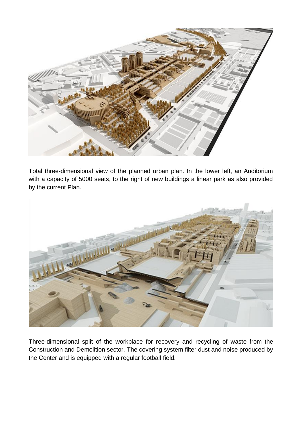

Total three-dimensional view of the planned urban plan. In the lower left, an Auditorium with a capacity of 5000 seats, to the right of new buildings a linear park as also provided by the current Plan.



Three-dimensional split of the workplace for recovery and recycling of waste from the Construction and Demolition sector. The covering system filter dust and noise produced by the Center and is equipped with a regular football field.